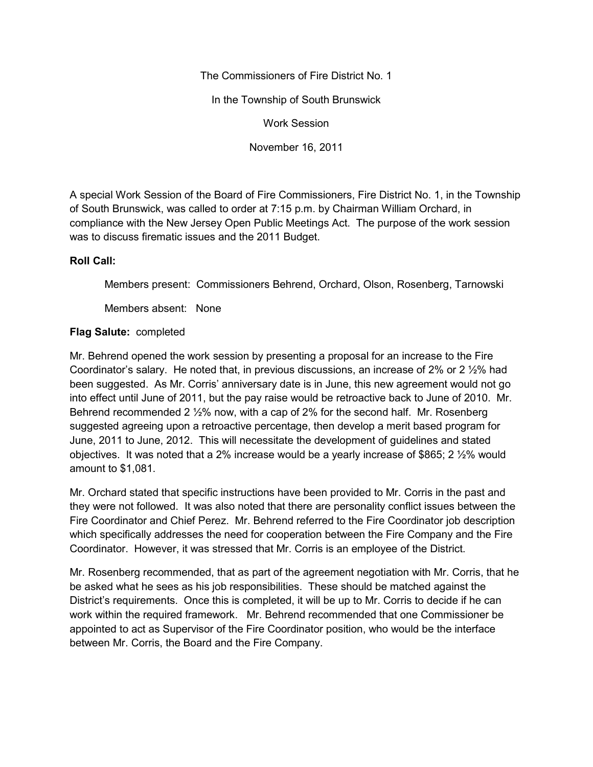The Commissioners of Fire District No. 1

In the Township of South Brunswick

Work Session

November 16, 2011

A special Work Session of the Board of Fire Commissioners, Fire District No. 1, in the Township of South Brunswick, was called to order at 7:15 p.m. by Chairman William Orchard, in compliance with the New Jersey Open Public Meetings Act. The purpose of the work session was to discuss firematic issues and the 2011 Budget.

## **Roll Call:**

Members present: Commissioners Behrend, Orchard, Olson, Rosenberg, Tarnowski

Members absent: None

## **Flag Salute:** completed

Mr. Behrend opened the work session by presenting a proposal for an increase to the Fire Coordinator's salary. He noted that, in previous discussions, an increase of 2% or 2 ½% had been suggested. As Mr. Corris' anniversary date is in June, this new agreement would not go into effect until June of 2011, but the pay raise would be retroactive back to June of 2010. Mr. Behrend recommended 2 ½% now, with a cap of 2% for the second half. Mr. Rosenberg suggested agreeing upon a retroactive percentage, then develop a merit based program for June, 2011 to June, 2012. This will necessitate the development of guidelines and stated objectives. It was noted that a 2% increase would be a yearly increase of \$865; 2 ½% would amount to \$1,081.

Mr. Orchard stated that specific instructions have been provided to Mr. Corris in the past and they were not followed. It was also noted that there are personality conflict issues between the Fire Coordinator and Chief Perez. Mr. Behrend referred to the Fire Coordinator job description which specifically addresses the need for cooperation between the Fire Company and the Fire Coordinator. However, it was stressed that Mr. Corris is an employee of the District.

Mr. Rosenberg recommended, that as part of the agreement negotiation with Mr. Corris, that he be asked what he sees as his job responsibilities. These should be matched against the District's requirements. Once this is completed, it will be up to Mr. Corris to decide if he can work within the required framework. Mr. Behrend recommended that one Commissioner be appointed to act as Supervisor of the Fire Coordinator position, who would be the interface between Mr. Corris, the Board and the Fire Company.